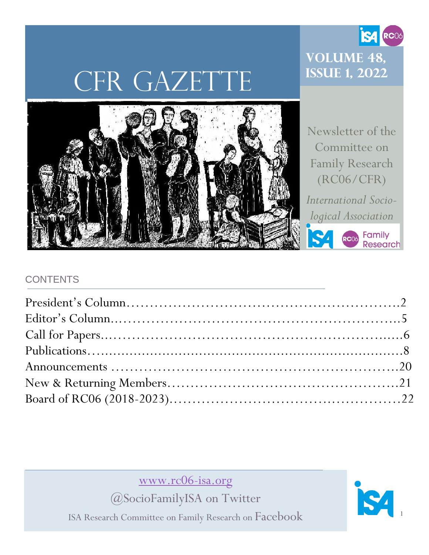# CFR GAZETTE

### **Volume 48, Issue 1, 2022**

**S4 RC06** 



Newsletter of the Committee on Family Research (RC06/CFR)

*International Sociological Association*

Read Family<br>Research

### **CONTENTS**

[www.rc06-isa.org](http://www.rc06-isa.org/)

@SocioFamilyISA on Twitter

ISA Research Committee on Family Research on Facebook

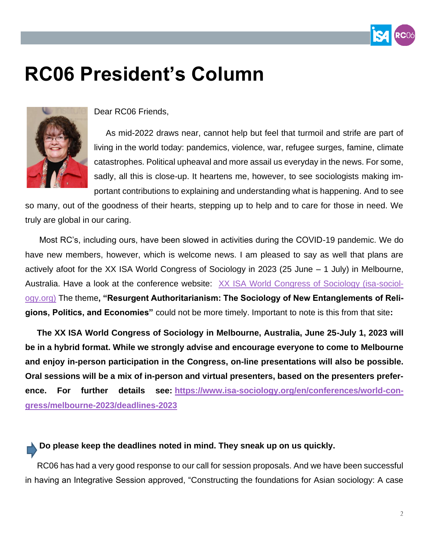

## **RC06 President's Column**



Dear RC06 Friends,

 As mid-2022 draws near, cannot help but feel that turmoil and strife are part of living in the world today: pandemics, violence, war, refugee surges, famine, climate catastrophes. Political upheaval and more assail us everyday in the news. For some, sadly, all this is close-up. It heartens me, however, to see sociologists making important contributions to explaining and understanding what is happening. And to see

so many, out of the goodness of their hearts, stepping up to help and to care for those in need. We truly are global in our caring.

Most RC's, including ours, have been slowed in activities during the COVID-19 pandemic. We do have new members, however, which is welcome news. I am pleased to say as well that plans are actively afoot for the XX ISA World Congress of Sociology in 2023 (25 June – 1 July) in Melbourne, Australia. Have a look at the conference website:[XX ISA World Congress of Sociology \(isa-sociol](https://www.isa-sociology.org/en/conferences/world-congress/melbourne-2023)[ogy.org\)](https://www.isa-sociology.org/en/conferences/world-congress/melbourne-2023) The theme**, "Resurgent Authoritarianism: The Sociology of New Entanglements of Religions, Politics, and Economies"** could not be more timely. Important to note is this from that site**:**

 **The XX ISA World Congress of Sociology in Melbourne, Australia, June 25-July 1, 2023 will be in a hybrid format. While we strongly advise and encourage everyone to come to Melbourne and enjoy in-person participation in the Congress, on-line presentations will also be possible. Oral sessions will be a mix of in-person and virtual presenters, based on the presenters preference. For further details see: [https://www.isa-sociology.org/en/conferences/world-con](https://www.isa-sociology.org/en/conferences/world-congress/melbourne-2023/deadlines-2023)[gress/melbourne-2023/deadlines-2023](https://www.isa-sociology.org/en/conferences/world-congress/melbourne-2023/deadlines-2023)**

### **Do please keep the deadlines noted in mind. They sneak up on us quickly.**

 RC06 has had a very good response to our call for session proposals. And we have been successful in having an Integrative Session approved, "Constructing the foundations for Asian sociology: A case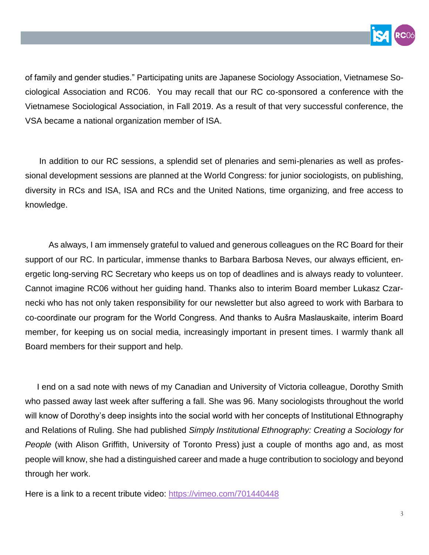

of family and gender studies." Participating units are Japanese Sociology Association, Vietnamese Sociological Association and RC06. You may recall that our RC co-sponsored a conference with the Vietnamese Sociological Association, in Fall 2019. As a result of that very successful conference, the VSA became a national organization member of ISA.

 In addition to our RC sessions, a splendid set of plenaries and semi-plenaries as well as professional development sessions are planned at the World Congress: for junior sociologists, on publishing, diversity in RCs and ISA, ISA and RCs and the United Nations, time organizing, and free access to knowledge.

 As always, I am immensely grateful to valued and generous colleagues on the RC Board for their support of our RC. In particular, immense thanks to Barbara Barbosa Neves, our always efficient, energetic long-serving RC Secretary who keeps us on top of deadlines and is always ready to volunteer. Cannot imagine RC06 without her guiding hand. Thanks also to interim Board member Lukasz Czarnecki who has not only taken responsibility for our newsletter but also agreed to work with Barbara to co-coordinate our program for the World Congress. And thanks to Aušra Maslauskaite, interim Board member, for keeping us on social media, increasingly important in present times. I warmly thank all Board members for their support and help.

 I end on a sad note with news of my Canadian and University of Victoria colleague, Dorothy Smith who passed away last week after suffering a fall. She was 96. Many sociologists throughout the world will know of Dorothy's deep insights into the social world with her concepts of Institutional Ethnography and Relations of Ruling. She had published *Simply Institutional Ethnography: Creating a Sociology for People* (with Alison Griffith, University of Toronto Press) just a couple of months ago and, as most people will know, she had a distinguished career and made a huge contribution to sociology and beyond through her work.

Here is a link to a recent tribute video: <https://vimeo.com/701440448>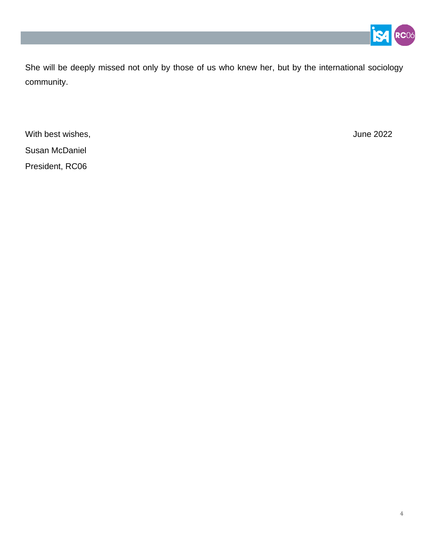

She will be deeply missed not only by those of us who knew her, but by the international sociology community.

With best wishes, **Victor** 2022 **June 2022** Susan McDaniel President, RC06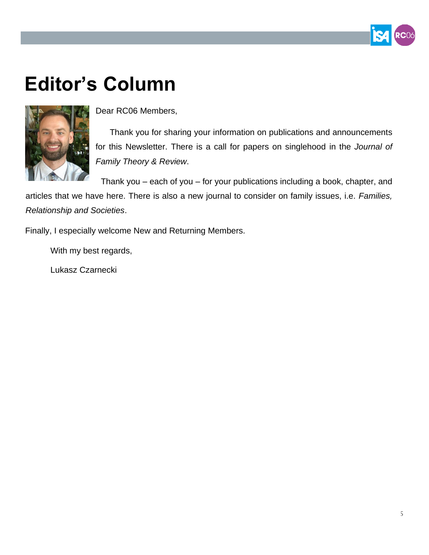## **Editor's Column**



Dear RC06 Members,

 Thank you for sharing your information on publications and announcements for this Newsletter. There is a call for papers on singlehood in the *Journal of Family Theory & Review*.

Thank you – each of you – for your publications including a book, chapter, and articles that we have here. There is also a new journal to consider on family issues, i.e. *Families, Relationship and Societies*.

Finally, I especially welcome New and Returning Members.

With my best regards,

Lukasz Czarnecki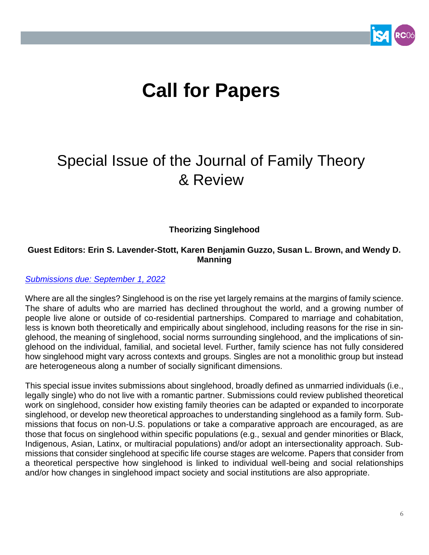## **Call for Papers**

### Special Issue of the Journal of Family Theory & Review

**Theorizing Singlehood**

#### **Guest Editors: Erin S. Lavender-Stott, Karen Benjamin Guzzo, Susan L. Brown, and Wendy D. Manning**

#### *[Submissions due: September 1, 2022](https://nam02.safelinks.protection.outlook.com/?url=https%3A%2F%2Fmc.manuscriptcentral.com%2Fjftr&data=04%7C01%7Callenda%40bgsu.edu%7Ce2cbd5cbaee0458956ab08d9fe1cc034%7Ccdcb729d51064d7cb75ba30c455d5b0a%7C1%7C0%7C637820221701737730%7CUnknown%7CTWFpbGZsb3d8eyJWIjoiMC4wLjAwMDAiLCJQIjoiV2luMzIiLCJBTiI6Ik1haWwiLCJXVCI6Mn0%3D%7C3000&sdata=fo8438OuU0mCMRCZ9kNfNHDAStQkbHH8joj7BQLcqrg%3D&reserved=0)*

Where are all the singles? Singlehood is on the rise yet largely remains at the margins of family science. The share of adults who are married has declined throughout the world, and a growing number of people live alone or outside of co-residential partnerships. Compared to marriage and cohabitation, less is known both theoretically and empirically about singlehood, including reasons for the rise in singlehood, the meaning of singlehood, social norms surrounding singlehood, and the implications of singlehood on the individual, familial, and societal level. Further, family science has not fully considered how singlehood might vary across contexts and groups. Singles are not a monolithic group but instead are heterogeneous along a number of socially significant dimensions.

This special issue invites submissions about singlehood, broadly defined as unmarried individuals (i.e., legally single) who do not live with a romantic partner. Submissions could review published theoretical work on singlehood, consider how existing family theories can be adapted or expanded to incorporate singlehood, or develop new theoretical approaches to understanding singlehood as a family form. Submissions that focus on non-U.S. populations or take a comparative approach are encouraged, as are those that focus on singlehood within specific populations (e.g., sexual and gender minorities or Black, Indigenous, Asian, Latinx, or multiracial populations) and/or adopt an intersectionality approach. Submissions that consider singlehood at specific life course stages are welcome. Papers that consider from a theoretical perspective how singlehood is linked to individual well-being and social relationships and/or how changes in singlehood impact society and social institutions are also appropriate.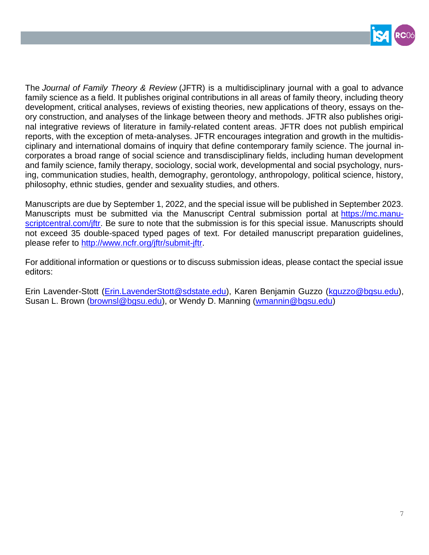

The *Journal of Family Theory & Review* (JFTR) is a multidisciplinary journal with a goal to advance family science as a field. It publishes original contributions in all areas of family theory, including theory development, critical analyses, reviews of existing theories, new applications of theory, essays on theory construction, and analyses of the linkage between theory and methods. JFTR also publishes original integrative reviews of literature in family-related content areas. JFTR does not publish empirical reports, with the exception of meta-analyses. JFTR encourages integration and growth in the multidisciplinary and international domains of inquiry that define contemporary family science. The journal incorporates a broad range of social science and transdisciplinary fields, including human development and family science, family therapy, sociology, social work, developmental and social psychology, nursing, communication studies, health, demography, gerontology, anthropology, political science, history, philosophy, ethnic studies, gender and sexuality studies, and others.

Manuscripts are due by September 1, 2022, and the special issue will be published in September 2023. Manuscripts must be submitted via the Manuscript Central submission portal at [https://mc.manu](https://mc.manuscriptcentral.com/jftr)[scriptcentral.com/jftr.](https://mc.manuscriptcentral.com/jftr) Be sure to note that the submission is for this special issue. Manuscripts should not exceed 35 double-spaced typed pages of text. For detailed manuscript preparation guidelines, please refer to [http://www.ncfr.org/jftr/submit-jftr.](http://www.ncfr.org/jftr/submit-jftr)

For additional information or questions or to discuss submission ideas, please contact the special issue editors:

Erin Lavender-Stott [\(Erin.LavenderStott@sdstate.edu\)](mailto:Erin.LavenderStott@sdstate.edu), Karen Benjamin Guzzo [\(kguzzo@bgsu.edu\)](mailto:kguzzo@bgsu.edu), Susan L. Brown [\(brownsl@bgsu.edu\)](mailto:brownsl@bgsu.edu), or Wendy D. Manning [\(wmannin@bgsu.edu\)](mailto:wmannin@bgsu.edu)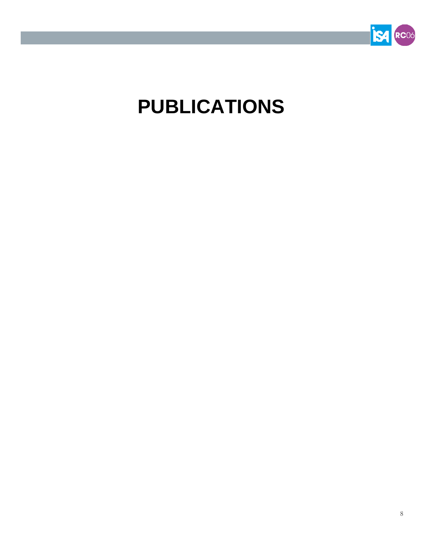

## **PUBLICATIONS**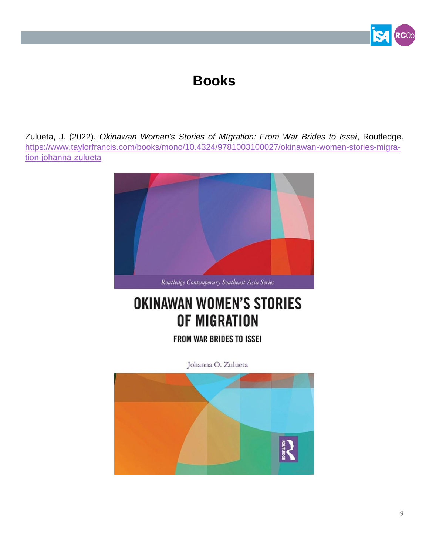### **Books**

Zulueta, J. (2022). *Okinawan Women's Stories of MIgration: From War Brides to Issei*, Routledge. [https://www.taylorfrancis.com/books/mono/10.4324/9781003100027/okinawan-women-stories-migra](https://www.taylorfrancis.com/books/mono/10.4324/9781003100027/okinawan-women-stories-migration-johanna-zulueta)[tion-johanna-zulueta](https://www.taylorfrancis.com/books/mono/10.4324/9781003100027/okinawan-women-stories-migration-johanna-zulueta)



### **OKINAWAN WOMEN'S STORIES** OF MIGRATION

FROM WAR BRIDES TO ISSEI

Johanna O. Zulueta

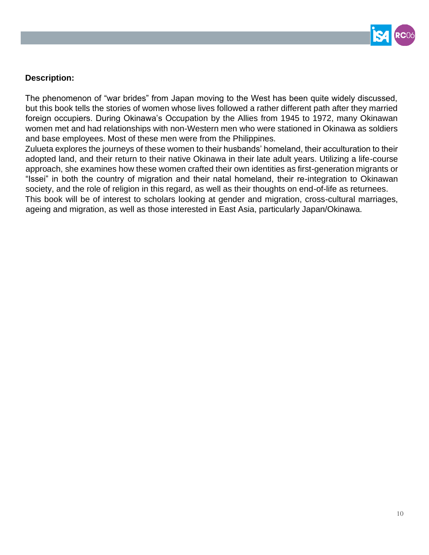

### **Description:**

The phenomenon of "war brides" from Japan moving to the West has been quite widely discussed, but this book tells the stories of women whose lives followed a rather different path after they married foreign occupiers. During Okinawa's Occupation by the Allies from 1945 to 1972, many Okinawan women met and had relationships with non-Western men who were stationed in Okinawa as soldiers and base employees. Most of these men were from the Philippines.

Zulueta explores the journeys of these women to their husbands' homeland, their acculturation to their adopted land, and their return to their native Okinawa in their late adult years. Utilizing a life-course approach, she examines how these women crafted their own identities as first-generation migrants or "Issei" in both the country of migration and their natal homeland, their re-integration to Okinawan society, and the role of religion in this regard, as well as their thoughts on end-of-life as returnees. This book will be of interest to scholars looking at gender and migration, cross-cultural marriages, ageing and migration, as well as those interested in East Asia, particularly Japan/Okinawa.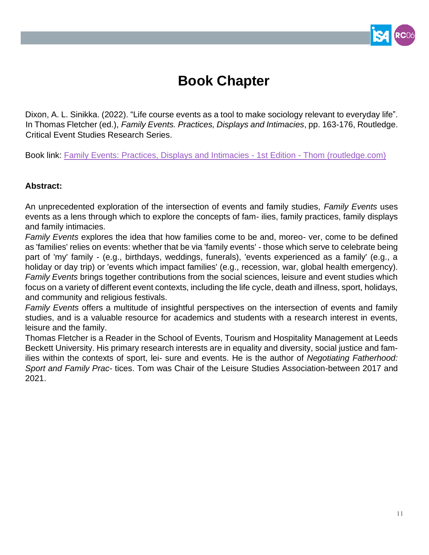### **Book Chapter**

Dixon, A. L. Sinikka. (2022). "Life course events as a tool to make sociology relevant to everyday life". In Thomas Fletcher (ed.), *Family Events. Practices, Displays and Intimacies*, pp. 163-176, Routledge. Critical Event Studies Research Series.

Book link: [Family Events: Practices, Displays and Intimacies -](https://eur02.safelinks.protection.outlook.com/?url=https%3A%2F%2Fwww.routledge.com%2FFamily-Events-Practices-Displays-and-Intimacies%2FFletcher%2Fp%2Fbook%2F9780367507725&data=04%7C01%7Ct.e.fletcher%40leedsbeckett.ac.uk%7C13be1b5d02c24c9328db08da1164ebeb%7Cd79a81124fbe417aa112cd0fb490d85c%7C0%7C0%7C637841423014983279%7CUnknown%7CTWFpbGZsb3d8eyJWIjoiMC4wLjAwMDAiLCJQIjoiV2luMzIiLCJBTiI6Ik1haWwiLCJXVCI6Mn0%3D%7C3000&sdata=ORAdSewB9iyGDacC0EL5wZaCd0Gwsdoh2O9El7OVWhA%3D&reserved=0) 1st Edition - Thom (routledge.com)

#### **Abstract:**

An unprecedented exploration of the intersection of events and family studies, *Family Events* uses events as a lens through which to explore the concepts of fam- ilies, family practices, family displays and family intimacies.

*Family Events* explores the idea that how families come to be and, moreo- ver, come to be defined as 'families' relies on events: whether that be via 'family events' - those which serve to celebrate being part of 'my' family - (e.g., birthdays, weddings, funerals), 'events experienced as a family' (e.g., a holiday or day trip) or 'events which impact families' (e.g., recession, war, global health emergency). *Family Events* brings together contributions from the social sciences, leisure and event studies which focus on a variety of different event contexts, including the life cycle, death and illness, sport, holidays, and community and religious festivals.

*Family Events* offers a multitude of insightful perspectives on the intersection of events and family studies, and is a valuable resource for academics and students with a research interest in events, leisure and the family.

Thomas Fletcher is a Reader in the School of Events, Tourism and Hospitality Management at Leeds Beckett University. His primary research interests are in equality and diversity, social justice and families within the contexts of sport, lei- sure and events. He is the author of *Negotiating Fatherhood: Sport and Family Prac-* tices. Tom was Chair of the Leisure Studies Association-between 2017 and 2021.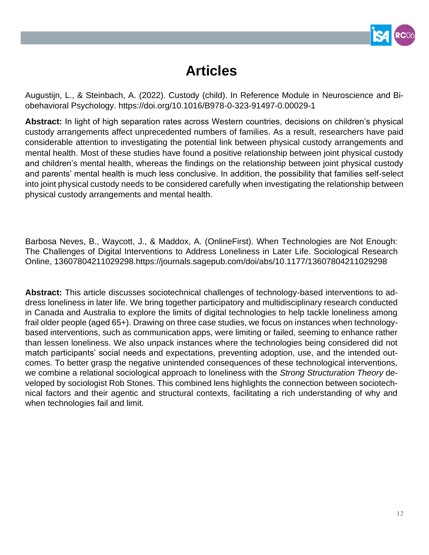

### **Articles**

Augustijn, L., & Steinbach, A. (2022). Custody (child). In Reference Module in Neuroscience and Biobehavioral Psychology. https://doi.org/10.1016/B978-0-323-91497-0.00029-1

**Abstract:** In light of high separation rates across Western countries, decisions on children's physical custody arrangements affect unprecedented numbers of families. As a result, researchers have paid considerable attention to investigating the potential link between physical custody arrangements and mental health. Most of these studies have found a positive relationship between joint physical custody and children's mental health, whereas the findings on the relationship between joint physical custody and parents' mental health is much less conclusive. In addition, the possibility that families self-select into joint physical custody needs to be considered carefully when investigating the relationship between physical custody arrangements and mental health.

Barbosa Neves, B., Waycott, J., & Maddox, A. (OnlineFirst). When Technologies are Not Enough: The Challenges of Digital Interventions to Address Loneliness in Later Life. Sociological Research Online, 13607804211029298.https://journals.sagepub.com/doi/abs/10.1177/13607804211029298

**Abstract:** This article discusses sociotechnical challenges of technology-based interventions to address loneliness in later life. We bring together participatory and multidisciplinary research conducted in Canada and Australia to explore the limits of digital technologies to help tackle loneliness among frail older people (aged 65+). Drawing on three case studies, we focus on instances when technologybased interventions, such as communication apps, were limiting or failed, seeming to enhance rather than lessen loneliness. We also unpack instances where the technologies being considered did not match participants' social needs and expectations, preventing adoption, use, and the intended outcomes. To better grasp the negative unintended consequences of these technological interventions, we combine a relational sociological approach to loneliness with the *Strong Structuration Theory* developed by sociologist Rob Stones. This combined lens highlights the connection between sociotechnical factors and their agentic and structural contexts, facilitating a rich understanding of why and when technologies fail and limit.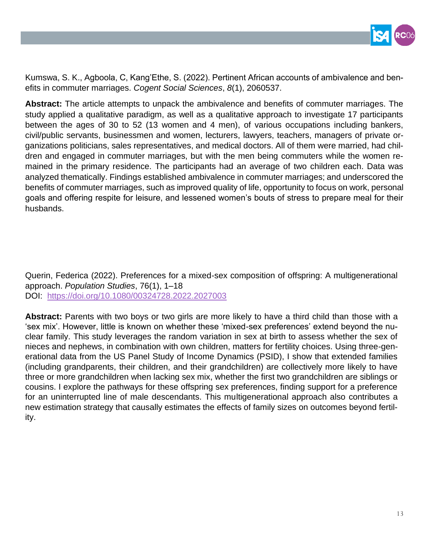

Kumswa, S. K., Agboola, C, Kang'Ethe, S. (2022). Pertinent African accounts of ambivalence and benefits in commuter marriages. *Cogent Social Sciences*, *8*(1), 2060537.

**Abstract:** The article attempts to unpack the ambivalence and benefits of commuter marriages. The study applied a qualitative paradigm, as well as a qualitative approach to investigate 17 participants between the ages of 30 to 52 (13 women and 4 men), of various occupations including bankers, civil/public servants, businessmen and women, lecturers, lawyers, teachers, managers of private organizations politicians, sales representatives, and medical doctors. All of them were married, had children and engaged in commuter marriages, but with the men being commuters while the women remained in the primary residence. The participants had an average of two children each. Data was analyzed thematically. Findings established ambivalence in commuter marriages; and underscored the benefits of commuter marriages, such as improved quality of life, opportunity to focus on work, personal goals and offering respite for leisure, and lessened women's bouts of stress to prepare meal for their husbands.

Querin, Federica (2022). Preferences for a mixed-sex composition of offspring: A multigenerational approach. *Population Studies*, 76(1), 1–18 DOI: <https://doi.org/10.1080/00324728.2022.2027003>

**Abstract:** Parents with two boys or two girls are more likely to have a third child than those with a 'sex mix'. However, little is known on whether these 'mixed-sex preferences' extend beyond the nuclear family. This study leverages the random variation in sex at birth to assess whether the sex of nieces and nephews, in combination with own children, matters for fertility choices. Using three-generational data from the US Panel Study of Income Dynamics (PSID), I show that extended families (including grandparents, their children, and their grandchildren) are collectively more likely to have three or more grandchildren when lacking sex mix, whether the first two grandchildren are siblings or cousins. I explore the pathways for these offspring sex preferences, finding support for a preference for an uninterrupted line of male descendants. This multigenerational approach also contributes a new estimation strategy that causally estimates the effects of family sizes on outcomes beyond fertility.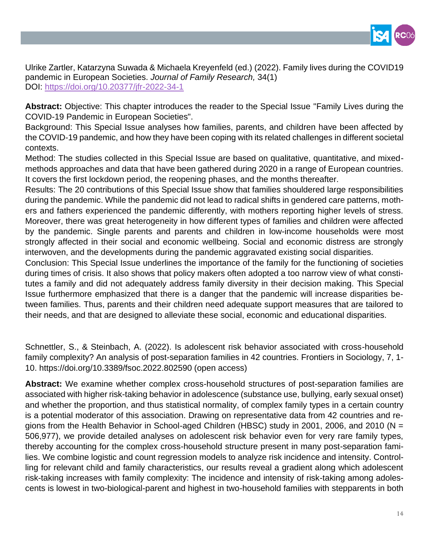

Ulrike Zartler, Katarzyna Suwada & Michaela Kreyenfeld (ed.) (2022). Family lives during the COVID19 pandemic in European Societies. *Journal of Family Research,* 34(1) DOI:<https://doi.org/10.20377/jfr-2022-34-1>

**Abstract:** Objective: This chapter introduces the reader to the Special Issue "Family Lives during the COVID-19 Pandemic in European Societies".

Background: This Special Issue analyses how families, parents, and children have been affected by the COVID-19 pandemic, and how they have been coping with its related challenges in different societal contexts.

Method: The studies collected in this Special Issue are based on qualitative, quantitative, and mixedmethods approaches and data that have been gathered during 2020 in a range of European countries. It covers the first lockdown period, the reopening phases, and the months thereafter.

Results: The 20 contributions of this Special Issue show that families shouldered large responsibilities during the pandemic. While the pandemic did not lead to radical shifts in gendered care patterns, mothers and fathers experienced the pandemic differently, with mothers reporting higher levels of stress. Moreover, there was great heterogeneity in how different types of families and children were affected by the pandemic. Single parents and parents and children in low-income households were most strongly affected in their social and economic wellbeing. Social and economic distress are strongly interwoven, and the developments during the pandemic aggravated existing social disparities.

Conclusion: This Special Issue underlines the importance of the family for the functioning of societies during times of crisis. It also shows that policy makers often adopted a too narrow view of what constitutes a family and did not adequately address family diversity in their decision making. This Special Issue furthermore emphasized that there is a danger that the pandemic will increase disparities between families. Thus, parents and their children need adequate support measures that are tailored to their needs, and that are designed to alleviate these social, economic and educational disparities.

Schnettler, S., & Steinbach, A. (2022). Is adolescent risk behavior associated with cross-household family complexity? An analysis of post-separation families in 42 countries. Frontiers in Sociology, 7, 1- 10. https://doi.org/10.3389/fsoc.2022.802590 (open access)

**Abstract:** We examine whether complex cross-household structures of post-separation families are associated with higher risk-taking behavior in adolescence (substance use, bullying, early sexual onset) and whether the proportion, and thus statistical normality, of complex family types in a certain country is a potential moderator of this association. Drawing on representative data from 42 countries and regions from the Health Behavior in School-aged Children (HBSC) study in 2001, 2006, and 2010 (N = 506,977), we provide detailed analyses on adolescent risk behavior even for very rare family types, thereby accounting for the complex cross-household structure present in many post-separation families. We combine logistic and count regression models to analyze risk incidence and intensity. Controlling for relevant child and family characteristics, our results reveal a gradient along which adolescent risk-taking increases with family complexity: The incidence and intensity of risk-taking among adolescents is lowest in two-biological-parent and highest in two-household families with stepparents in both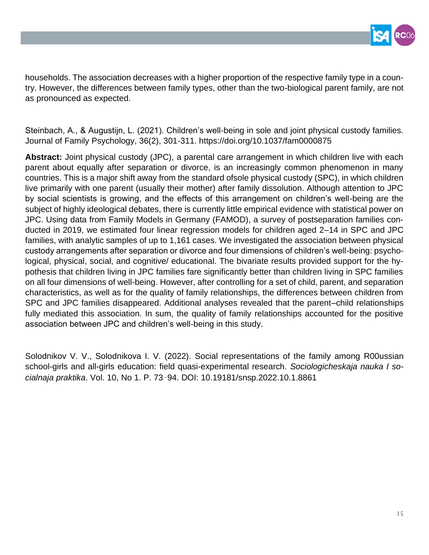

households. The association decreases with a higher proportion of the respective family type in a country. However, the differences between family types, other than the two-biological parent family, are not as pronounced as expected.

Steinbach, A., & Augustijn, L. (2021). Children's well-being in sole and joint physical custody families. Journal of Family Psychology, 36(2), 301-311. https://doi.org/10.1037/fam0000875

**Abstract:** Joint physical custody (JPC), a parental care arrangement in which children live with each parent about equally after separation or divorce, is an increasingly common phenomenon in many countries. This is a major shift away from the standard ofsole physical custody (SPC), in which children live primarily with one parent (usually their mother) after family dissolution. Although attention to JPC by social scientists is growing, and the effects of this arrangement on children's well-being are the subject of highly ideological debates, there is currently little empirical evidence with statistical power on JPC. Using data from Family Models in Germany (FAMOD), a survey of postseparation families conducted in 2019, we estimated four linear regression models for children aged 2–14 in SPC and JPC families, with analytic samples of up to 1,161 cases. We investigated the association between physical custody arrangements after separation or divorce and four dimensions of children's well-being: psychological, physical, social, and cognitive/ educational. The bivariate results provided support for the hypothesis that children living in JPC families fare significantly better than children living in SPC families on all four dimensions of well-being. However, after controlling for a set of child, parent, and separation characteristics, as well as for the quality of family relationships, the differences between children from SPC and JPC families disappeared. Additional analyses revealed that the parent–child relationships fully mediated this association. In sum, the quality of family relationships accounted for the positive association between JPC and children's well-being in this study.

Solodnikov V. V., Solodnikova I. V. (2022). Social representations of the family among R00ussian school-girls and all-girls education: field quasi-experimental research. *Sociologicheskaja nauka I socialnaja praktika*. Vol. 10, No 1. P. 73–94. DOI: 10.19181/snsp.2022.10.1.8861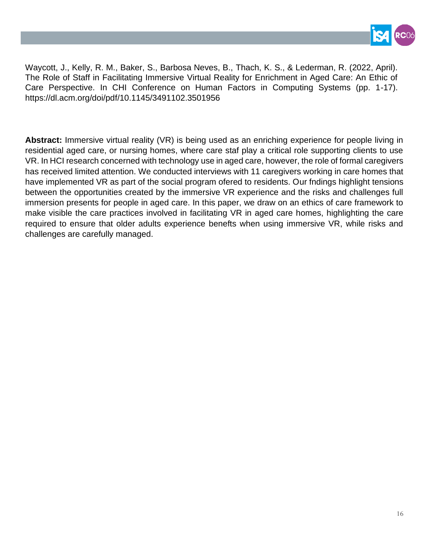

Waycott, J., Kelly, R. M., Baker, S., Barbosa Neves, B., Thach, K. S., & Lederman, R. (2022, April). The Role of Staff in Facilitating Immersive Virtual Reality for Enrichment in Aged Care: An Ethic of Care Perspective. In CHI Conference on Human Factors in Computing Systems (pp. 1-17). https://dl.acm.org/doi/pdf/10.1145/3491102.3501956

**Abstract:** Immersive virtual reality (VR) is being used as an enriching experience for people living in residential aged care, or nursing homes, where care staf play a critical role supporting clients to use VR. In HCI research concerned with technology use in aged care, however, the role of formal caregivers has received limited attention. We conducted interviews with 11 caregivers working in care homes that have implemented VR as part of the social program ofered to residents. Our fndings highlight tensions between the opportunities created by the immersive VR experience and the risks and challenges full immersion presents for people in aged care. In this paper, we draw on an ethics of care framework to make visible the care practices involved in facilitating VR in aged care homes, highlighting the care required to ensure that older adults experience benefts when using immersive VR, while risks and challenges are carefully managed.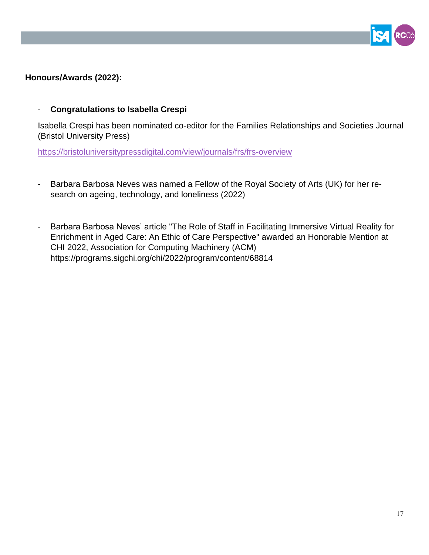

### **Honours/Awards (2022):**

#### - **Congratulations to Isabella Crespi**

Isabella Crespi has been nominated co-editor for the Families Relationships and Societies Journal (Bristol University Press)

<https://bristoluniversitypressdigital.com/view/journals/frs/frs-overview>

- Barbara Barbosa Neves was named a Fellow of the Royal Society of Arts (UK) for her research on ageing, technology, and loneliness (2022)
- Barbara Barbosa Neves' article "The Role of Staff in Facilitating Immersive Virtual Reality for Enrichment in Aged Care: An Ethic of Care Perspective" awarded an Honorable Mention at CHI 2022, Association for Computing Machinery (ACM) https://programs.sigchi.org/chi/2022/program/content/68814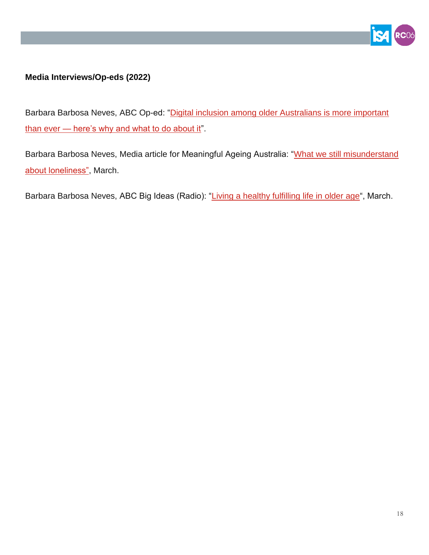

### **Media Interviews/Op-eds (2022)**

Barbara Barbosa Neves, ABC Op-ed: "Digital inclusion among older Australians is more important than ever — [here's why and what to do about it"](https://www.abc.net.au/religion/older-people-on-the-wrong-side-of-the-digital-divide/13759756).

Barbara Barbosa Neves, Media article for Meaningful Ageing Australia: ["What we still misunderstand](https://meaningfulageing.org.au/what-we-still-misunderstand-about-loneliness/)  [about loneliness",](https://meaningfulageing.org.au/what-we-still-misunderstand-about-loneliness/) March.

Barbara Barbosa Neves, ABC Big Ideas (Radio): ["Living a healthy fulfilling life in older age"](https://www.abc.net.au/radionational/programs/bigideas/how-to-live-a-healthy-fullfilling-life-into-older-age/13756076), March.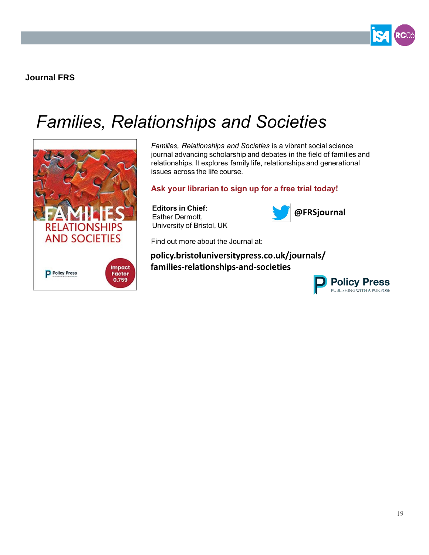

**Journal FRS**

## **Families, Relationships and Societies**



Families, Relationships and Societies is a vibrant social science journal advancing scholarship and debates in the field of families and relationships. It explores family life, relationships and generational issues across the life course.

#### Ask your librarian to sign up for a free trial today!

**Editors in Chief:** Esther Dermott, University of Bristol, UK



Find out more about the Journal at:

policy.bristoluniversitypress.co.uk/journals/ families-relationships-and-societies

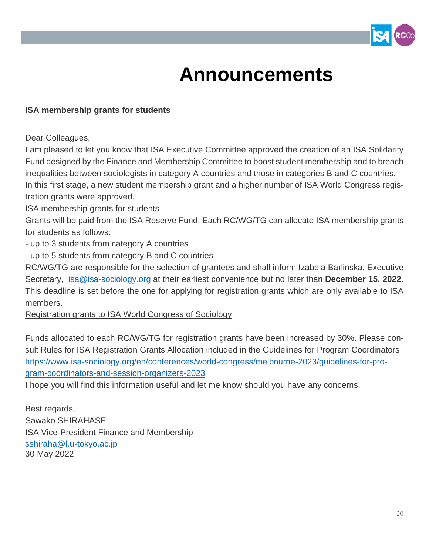

## **Announcements**

#### **ISA membership grants for students**

Dear Colleagues,

I am pleased to let you know that ISA Executive Committee approved the creation of an ISA Solidarity Fund designed by the Finance and Membership Committee to boost student membership and to breach inequalities between sociologists in category A countries and those in categories B and C countries. In this first stage, a new student membership grant and a higher number of ISA World Congress registration grants were approved.

ISA membership grants for students

Grants will be paid from the ISA Reserve Fund. Each RC/WG/TG can allocate ISA membership grants for students as follows:

- up to 3 students from category A countries

- up to 5 students from category B and C countries

RC/WG/TG are responsible for the selection of grantees and shall inform Izabela Barlinska, Executive Secretary, [isa@isa-sociology.org](mailto:isa@isa-sociology.org) at their earliest convenience but no later than **December 15, 2022**. This deadline is set before the one for applying for registration grants which are only available to ISA members.

Registration grants to ISA World Congress of Sociology

Funds allocated to each RC/WG/TG for registration grants have been increased by 30%. Please consult Rules for ISA Registration Grants Allocation included in the Guidelines for Program Coordinators [https://www.isa-sociology.org/en/conferences/world-congress/melbourne-2023/guidelines-for-pro](http://0w745.mjt.lu/lnk/AV4AACmwqcMAAABE7vwAAAoxYTEAAAAA-AkAAXtbABkUwABilkTW9kSjjZFsRaKlBrCrw4qY3gAYaVs/2/0gCNB1UvwopZPh6NdzjbRA/aHR0cHM6Ly93d3cuaXNhLXNvY2lvbG9neS5vcmcvZW4vY29uZmVyZW5jZXMvd29ybGQtY29uZ3Jlc3MvbWVsYm91cm5lLTIwMjMvZ3VpZGVsaW5lcy1mb3ItcHJvZ3JhbS1jb29yZGluYXRvcnMtYW5kLXNlc3Npb24tb3JnYW5pemVycy0yMDIz)[gram-coordinators-and-session-organizers-2023](http://0w745.mjt.lu/lnk/AV4AACmwqcMAAABE7vwAAAoxYTEAAAAA-AkAAXtbABkUwABilkTW9kSjjZFsRaKlBrCrw4qY3gAYaVs/2/0gCNB1UvwopZPh6NdzjbRA/aHR0cHM6Ly93d3cuaXNhLXNvY2lvbG9neS5vcmcvZW4vY29uZmVyZW5jZXMvd29ybGQtY29uZ3Jlc3MvbWVsYm91cm5lLTIwMjMvZ3VpZGVsaW5lcy1mb3ItcHJvZ3JhbS1jb29yZGluYXRvcnMtYW5kLXNlc3Npb24tb3JnYW5pemVycy0yMDIz)

I hope you will find this information useful and let me know should you have any concerns.

Best regards, Sawako SHIRAHASE ISA Vice-President Finance and Membership [sshiraha@l.u-tokyo.ac.jp](mailto:sshiraha@l.u-tokyo.ac.jp) 30 May 2022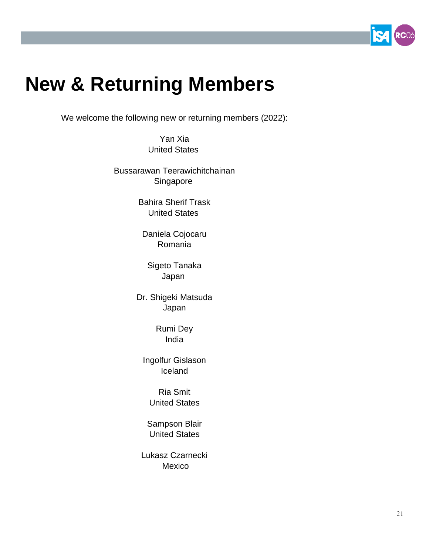

## **New & Returning Members**

We welcome the following new or returning members (2022):

Yan Xia United States

Bussarawan Teerawichitchainan Singapore

> Bahira Sherif Trask United States

Daniela Cojocaru Romania

Sigeto Tanaka Japan

Dr. Shigeki Matsuda Japan

> Rumi Dey India

Ingolfur Gislason Iceland

Ria Smit United States

Sampson Blair United States

Lukasz Czarnecki Mexico